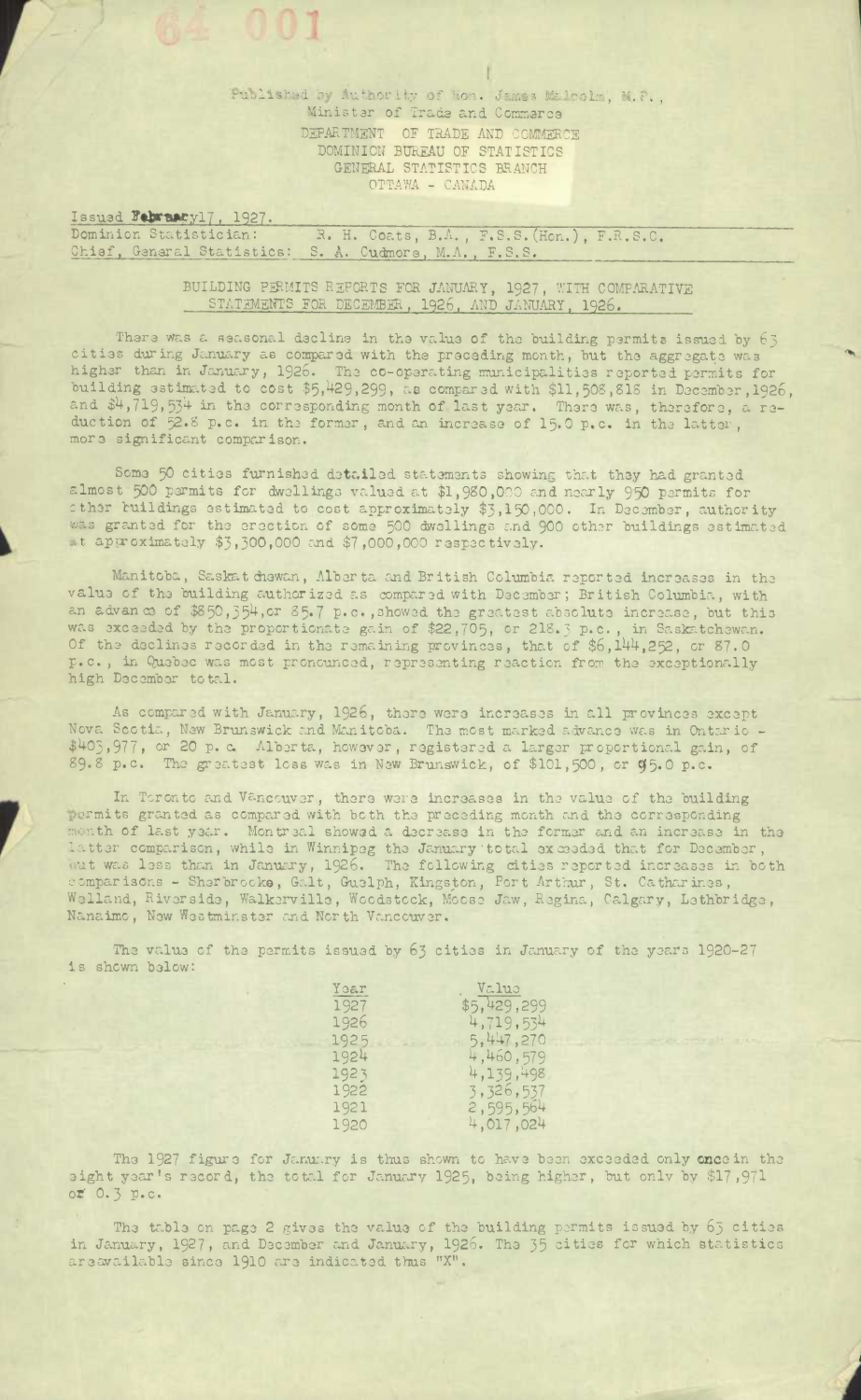Published by Authority of Hon. James Milcolm, M.P., Ministar of Trade and Commerce DEPARTMENT OF TRADE AND COMMERCE DOMINION BUREAU OF STATISTICS GENERAL STATISTICS BRANCH OTTAWA - CANADA

Issued February17, 1927. Dominion Statistician: R. H. Coats, B.A., F.S.S. (Hon.), F.R.S.C. Chisf, General Statistics: S. A. Cudmore, M.A., F.S.S.

> BUILDING PERMITS REPORTS FOR JANUARY, 1927, WITH COMPARATIVE STATEMENTS FOR DECEMBER, 1926, AND JANUARY, 1926.

There was a seasonal decline in the value of the building permits issued by 63 cities during January as compared with the preceding month, but the aggregate was higher than in January, 1926. The co-operating municipalities reported permits for building estimated to cost \$5,429,299, as compared with \$11,508,818 in December, 1926, and \$4,719,534 in the corresponding month of last year. There was, therefore, a re-<br>duction of 52.8 p.c. in the former, and an increase of 15.0 p.c. in the latter, more significant comparison.

Some 50 cities furnished detailed statements showing that they had granted almost 500 parmits for dwellings valued at \$1,980,000 and nearly 950 permits for cther buildings estimated to cost approximately \$3,150,000. In December, authority was granted for the erection of some 500 dwellings and 900 other buildings estimated at approximately \$3,300,000 and \$7,000,000 respectively.

Manitoba, Saskat chowan, Alberta and British Columbia reported increases in the valus of the building authorized as compared with December; British Columbia, with an advance of \$850,354, or 85.7 p.c., showed the greatest absolute increase, but this was exceeded by the proportionate gain of \$22,705, or 218.3 p.c., in Saskatchewan.<br>Of the declines recorded in the remaining provinces, that of \$6,144,252, or 87.0 p.c., in Quebec was most pronounced, representing reaction from the exceptionally high December total.

As compared with January, 1926, there were increases in all provinces except Nova Scotia, New Brunswick and Manitoba. The most marked advance was in Ontario -<br>\$403,977, or 20 p. c. Alberta, however, registered a larger proportional gain, of 89.8 p.c. The greatest loss was in New Brunswick, of \$101,

In Terento and Vanceuver, there were increases in the value of the building permits granted as compared with both the preceding month and the corresponding month of last year. Montreal showed a decrease in the former and an increase in the latter comparison, while in Winnipeg the January total exceeded that for December,<br>but was less than in January, 1926. The following cities reported increases in both<br>comparisons - Sherbrocke, Galt, Guelph, Kingston, Port Welland, Riverside, Walkerville, Woodstock, Moose Jaw, Regina, Calgary, Lethbridge, Nanaimo, New Westminster and North Vancouver.

The value of the permits issued by 63 cities in January of the years 1920-27 is shown below:

| Year | Value       |
|------|-------------|
| 1927 | \$5,429,299 |
| 1926 | 4,719,534   |
| 1925 | 5,447,270   |
| 1924 | 4,460,579   |
| 1923 | 4,139,498   |
| 1922 | 3,326,537   |
| 1921 | 2,595,564   |
| 1920 | 4,017,024   |

The 1927 figure for January is thus shown to have been exceeded only once in the sight year's record, the total for January 1925, being higher, but only by \$17,971 or 0.3 p.c.

The table on page 2 gives the value of the building permits issued by 65 cities in January, 1927, and December and January, 1926. The 35 cities for which statistics areavailable since 1910 are indicated thus "X".